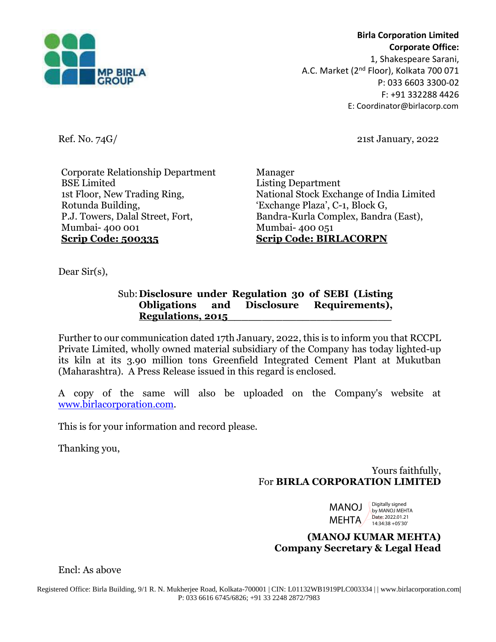

**Birla Corporation Limited Corporate Office:** 1, Shakespeare Sarani, A.C. Market (2<sup>nd</sup> Floor), Kolkata 700 071 P: 033 6603 3300-02 F: +91 332288 4426 E: Coordinator@birlacorp.com

Ref. No. 74G/ 21st January, 2022

Corporate Relationship Department BSE Limited 1st Floor, New Trading Ring, Rotunda Building, P.J. Towers, Dalal Street, Fort, Mumbai- 400 001 **Scrip Code: 500335**

Manager Listing Department National Stock Exchange of India Limited 'Exchange Plaza', C-1, Block G, Bandra-Kurla Complex, Bandra (East), Mumbai- 400 051 **Scrip Code: BIRLACORPN**

Dear Sir(s),

# Sub:**Disclosure under Regulation 30 of SEBI (Listing Obligations and Disclosure Requirements), Regulations, 2015\_\_\_\_\_\_\_\_\_\_\_\_\_\_\_\_\_\_\_\_\_\_\_\_**

Further to our communication dated 17th January, 2022, this is to inform you that RCCPL Private Limited, wholly owned material subsidiary of the Company has today lighted-up its kiln at its 3.90 million tons Greenfield Integrated Cement Plant at Mukutban (Maharashtra). A Press Release issued in this regard is enclosed.

A copy of the same will also be uploaded on the Company's website at [www.birlacorporation.com.](http://www.birlacorporation.com/)

This is for your information and record please.

Thanking you,

# Yours faithfully, For **BIRLA CORPORATION LIMITED**

MANOJ **Digitally signed** MEHTA A by MANOJ MEHTA Date: 2022.01.21 14:34:38 +05'30'

**(MANOJ KUMAR MEHTA) Company Secretary & Legal Head**

Encl: As above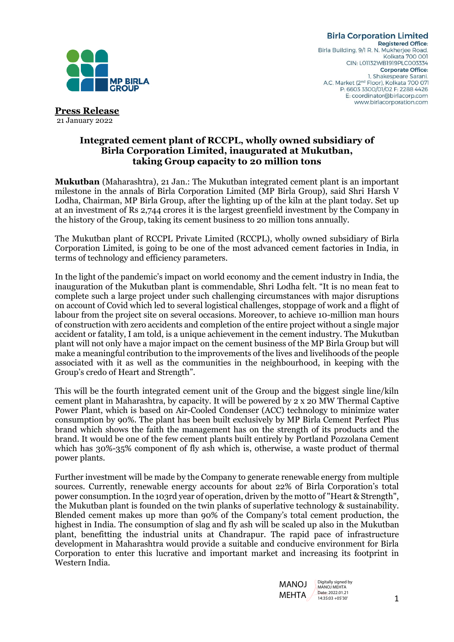

**Birla Corporation Limited Registered Office:** Birla Building, 9/1 R. N. Mukherjee Road, Kolkata 700 001 CIN: L01132WB1919PLC003334 **Corporate Office:** 1. Shakespeare Sarani. A.C. Market (2<sup>nd</sup> Floor), Kolkata 700 071 P: 6603 3300/01/02 F: 2288 4426 E: coordinator@birlacorp.com www.birlacorporation.com

**Press Release** 21 January 2022

## **Integrated cement plant of RCCPL, wholly owned subsidiary of Birla Corporation Limited, inaugurated at Mukutban, taking Group capacity to 20 million tons**

**Mukutban** (Maharashtra), 21 Jan.: The Mukutban integrated cement plant is an important milestone in the annals of Birla Corporation Limited (MP Birla Group), said Shri Harsh V Lodha, Chairman, MP Birla Group, after the lighting up of the kiln at the plant today. Set up at an investment of Rs 2,744 crores it is the largest greenfield investment by the Company in the history of the Group, taking its cement business to 20 million tons annually.

The Mukutban plant of RCCPL Private Limited (RCCPL), wholly owned subsidiary of Birla Corporation Limited, is going to be one of the most advanced cement factories in India, in terms of technology and efficiency parameters.

In the light of the pandemic's impact on world economy and the cement industry in India, the inauguration of the Mukutban plant is commendable, Shri Lodha felt. "It is no mean feat to complete such a large project under such challenging circumstances with major disruptions on account of Covid which led to several logistical challenges, stoppage of work and a flight of labour from the project site on several occasions. Moreover, to achieve 10-million man hours of construction with zero accidents and completion of the entire project without a single major accident or fatality, I am told, is a unique achievement in the cement industry. The Mukutban plant will not only have a major impact on the cement business of the MP Birla Group but will make a meaningful contribution to the improvements of the lives and livelihoods of the people associated with it as well as the communities in the neighbourhood, in keeping with the Group's credo of Heart and Strength".

This will be the fourth integrated cement unit of the Group and the biggest single line/kiln cement plant in Maharashtra, by capacity. It will be powered by 2 x 20 MW Thermal Captive Power Plant, which is based on Air-Cooled Condenser (ACC) technology to minimize water consumption by 90%. The plant has been built exclusively by MP Birla Cement Perfect Plus brand which shows the faith the management has on the strength of its products and the brand. It would be one of the few cement plants built entirely by Portland Pozzolana Cement which has  $30\% -35\%$  component of fly ash which is, otherwise, a waste product of thermal power plants.

Further investment will be made by the Company to generate renewable energy from multiple sources. Currently, renewable energy accounts for about 22% of Birla Corporation's total power consumption. In the 103rd year of operation, driven by the motto of "Heart & Strength", the Mukutban plant is founded on the twin planks of superlative technology & sustainability. Blended cement makes up more than 90% of the Company's total cement production, the highest in India. The consumption of slag and fly ash will be scaled up also in the Mukutban plant, benefitting the industrial units at Chandrapur. The rapid pace of infrastructure development in Maharashtra would provide a suitable and conducive environment for Birla Corporation to enter this lucrative and important market and increasing its footprint in Western India.

> MANOJ MEHTA / Digitally signed by MANOJ MEHTA Date: 2022.01.21 14:35:03 +05'30'